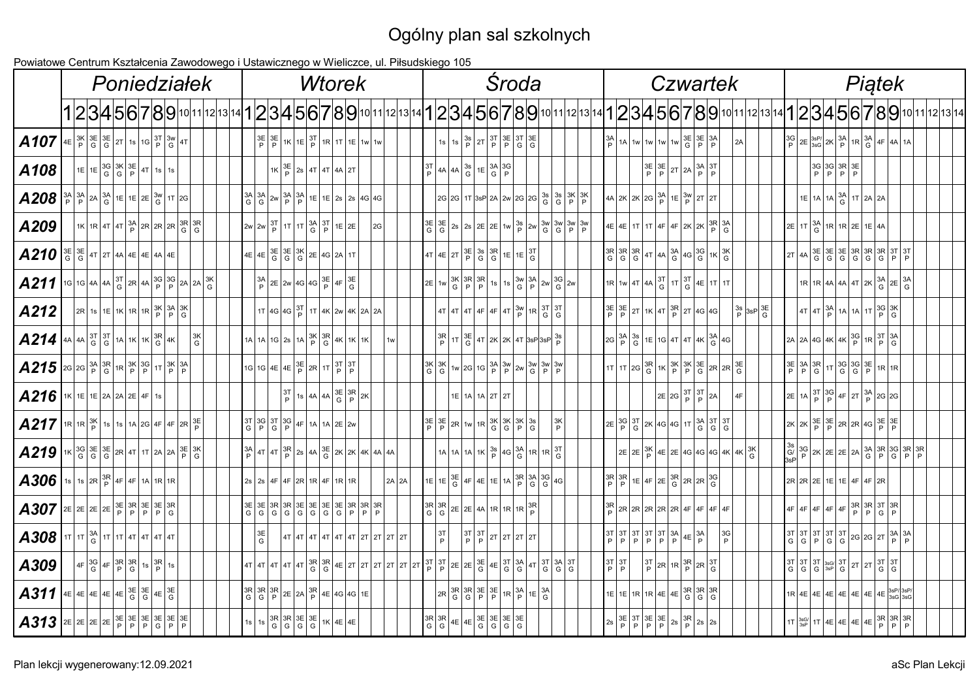## Ogólny plan sal szkolnych

Powiatowe Centrum Kształcenia Zawodowego i Ustawicznego w Wieliczce, ul. Piłsudskiego 105

|                                                                                                                                                                                                                                                                                                                                                                                                                                                                     |                                                                                                                               |  |  |  | Poniedziałek                                                   |  |                 |  |  | <b>Wtorek</b>                                                                                                                                                                                                                                                                                                                                                                                        |    |       |  |                                                                                                                                                                                                                                             |  | Środa                                                                                                      |  |                |  |                                                                  |  | <b>Czwartek</b>                                                                                                                                                                                                                                                                                                                                                                                                                                                                                                         |  |                |                                   |  |                                                                    | Piątek                                                                                                                                                                                                                                                                                                                |  |  |                                                                                                                                                            |
|---------------------------------------------------------------------------------------------------------------------------------------------------------------------------------------------------------------------------------------------------------------------------------------------------------------------------------------------------------------------------------------------------------------------------------------------------------------------|-------------------------------------------------------------------------------------------------------------------------------|--|--|--|----------------------------------------------------------------|--|-----------------|--|--|------------------------------------------------------------------------------------------------------------------------------------------------------------------------------------------------------------------------------------------------------------------------------------------------------------------------------------------------------------------------------------------------------|----|-------|--|---------------------------------------------------------------------------------------------------------------------------------------------------------------------------------------------------------------------------------------------|--|------------------------------------------------------------------------------------------------------------|--|----------------|--|------------------------------------------------------------------|--|-------------------------------------------------------------------------------------------------------------------------------------------------------------------------------------------------------------------------------------------------------------------------------------------------------------------------------------------------------------------------------------------------------------------------------------------------------------------------------------------------------------------------|--|----------------|-----------------------------------|--|--------------------------------------------------------------------|-----------------------------------------------------------------------------------------------------------------------------------------------------------------------------------------------------------------------------------------------------------------------------------------------------------------------|--|--|------------------------------------------------------------------------------------------------------------------------------------------------------------|
|                                                                                                                                                                                                                                                                                                                                                                                                                                                                     |                                                                                                                               |  |  |  |                                                                |  |                 |  |  |                                                                                                                                                                                                                                                                                                                                                                                                      |    |       |  |                                                                                                                                                                                                                                             |  |                                                                                                            |  |                |  |                                                                  |  |                                                                                                                                                                                                                                                                                                                                                                                                                                                                                                                         |  |                |                                   |  |                                                                    |                                                                                                                                                                                                                                                                                                                       |  |  | 1 2 3 4 5 6 7 8 9 10 11 12 13 14 1 2 3 4 5 6 7 8 9 10 11 12 13 14 1 2 3 4 5 6 7 8 9 10 11 12 3 4 5 6 7 8 9 10 11 12 13 14 1 2 3 4 5 6 7 8 9 10 11 12 13 14 |
| $\left. \text{A}107 \right  \text{4E} \left  \frac{3K}{P} \right  \frac{3E}{G} \left  \frac{3E}{G} \right  2T \left  1s \right  1G \left  \frac{3T}{P} \right  \frac{3W}{G} \left  4T \right $                                                                                                                                                                                                                                                                      |                                                                                                                               |  |  |  |                                                                |  |                 |  |  | $\frac{3E}{P}\left \frac{3E}{P}\right $ 1K $\left 1E\right \frac{3T}{P}\left 1R\right $ 1T $\left 1E\right $ 1w $\left 1W\right $ 1w                                                                                                                                                                                                                                                                 |    |       |  | 1s $\left  1s \right  \left  \frac{3s}{P} \right  2T \left  \frac{3T}{P} \right  \left  \frac{3E}{P} \right  \left  \frac{3T}{G} \right  \left  \frac{3E}{G} \right $                                                                       |  |                                                                                                            |  |                |  |                                                                  |  | $\frac{3A}{P}$ 1A 1w 1w 1w 1w $\frac{3E}{G}$ $\frac{3E}{P}$ $\frac{3A}{P}$                                                                                                                                                                                                                                                                                                                                                                                                                                              |  |                |                                   |  |                                                                    | $\left  \frac{3G}{P} \right  2E \left  \frac{3sP}{3sG} \right  2K \left  \frac{3A}{P} \right  1R \left  \frac{3A}{G} \right  4F \left  4A \right  1A \right $                                                                                                                                                         |  |  |                                                                                                                                                            |
| A108                                                                                                                                                                                                                                                                                                                                                                                                                                                                | $1E\left[1E\left \frac{3G}{G}\left \frac{3K}{G}\right \frac{3E}{P}\right 4T\right]1S\left 1S\right $                          |  |  |  |                                                                |  |                 |  |  | $1 \text{K} \left  \frac{3 \text{E}}{\text{P}} \right  2 \text{s} \left  4 \text{T} \right  4 \text{T} \left  4 \text{A} \right  2 \text{T}$                                                                                                                                                                                                                                                         |    |       |  | $\left \begin{array}{c c}\n3T \\ P\n\end{array}\right $ 4A $\left \begin{array}{c c}\n3s \\ G\n\end{array}\right $ 1E $\left \begin{array}{c c}\n3A & 3G \\ P\n\end{array}\right $                                                          |  |                                                                                                            |  |                |  |                                                                  |  | $\left \frac{3E}{P}\right \frac{3E}{P}\left 2T\right 2A\left \frac{3A}{P}\right \frac{3T}{P}\right $                                                                                                                                                                                                                                                                                                                                                                                                                    |  |                |                                   |  | $\begin{vmatrix} 3G & 3G & 3R & 3E \\ P & P & P & P \end{vmatrix}$ |                                                                                                                                                                                                                                                                                                                       |  |  |                                                                                                                                                            |
| $\left. \textbf{A208}\right _P^{3A}\left _P^{3A}\right _{\text{G}}^{2A}\left _E\right _{1E}\left _2E\left _G^{3W}\right _{1T}\left _2G\right _{2F}$                                                                                                                                                                                                                                                                                                                 |                                                                                                                               |  |  |  |                                                                |  |                 |  |  |                                                                                                                                                                                                                                                                                                                                                                                                      |    |       |  | $2G$ 2G 1T 3sP 2A 2w 2G 2G $\frac{3s}{G}$ $\frac{3s}{G}$ $\frac{3k}{P}$ $\frac{3K}{P}$                                                                                                                                                      |  |                                                                                                            |  |                |  |                                                                  |  | $\left  \frac{4A}{2K} \right  2K \left  \frac{2G}{P} \right  \left  \frac{3A}{P} \right  1E \left  \frac{3W}{P} \right  2T \left  2T \right $                                                                                                                                                                                                                                                                                                                                                                           |  |                |                                   |  |                                                                    | $1E$ 1A $\frac{3A}{G}$ 1T $\frac{2A}{2A}$ 2A                                                                                                                                                                                                                                                                          |  |  |                                                                                                                                                            |
| A209                                                                                                                                                                                                                                                                                                                                                                                                                                                                | $11K$ $1R$ $4T$ $4T$ $3A$ $2R$ $2R$ $2R$ $3R$ $3R$                                                                            |  |  |  |                                                                |  |                 |  |  | $\left 2w\right 2W\left \frac{3T}{P}\right 1T\left 1T\right \frac{3A}{G}\left \frac{3T}{P}\right 1E\left 2E\right $                                                                                                                                                                                                                                                                                  | 2G |       |  |                                                                                                                                                                                                                                             |  |                                                                                                            |  |                |  |                                                                  |  | $\left  4E \right  4E \left  1T \right  1T \left  4F \right  4F \left  2K \right  2K \left  \frac{3R}{P} \right  3A \left  5F \right  3F$                                                                                                                                                                                                                                                                                                                                                                               |  |                |                                   |  |                                                                    | $\left  2E \right  1T \left  \frac{3A}{G} \right  1R \left  1R \right  2E \left  1E \right  4A$                                                                                                                                                                                                                       |  |  |                                                                                                                                                            |
| $\left[ \begin{array}{c c c c} A210 & \frac{3E}{G} & \frac{3E}{G} & 41 & 2I & 4A & 4E & 4A & 4E \end{array} \right]$                                                                                                                                                                                                                                                                                                                                                |                                                                                                                               |  |  |  |                                                                |  |                 |  |  | $\left  4E \right  4E \left  \frac{3E}{G} \right  \frac{3E}{G} \left  \frac{3K}{G} \right  2E \left  4G \right  2A \left  1T \right $                                                                                                                                                                                                                                                                |    |       |  | $\left  4T \right  4E \left  2T \left  \frac{3E}{P} \right  3S \left  3R \right  1E \left  1E \left  \frac{3T}{G} \right  1E \right $                                                                                                       |  |                                                                                                            |  |                |  |                                                                  |  | $\left[\begin{array}{c c}\n 3R & 3R & 3R \\  6 & 6 & 6\n \end{array}\right]$ 4T $\left \begin{array}{c c}\n 4A & 3A & 3G & 3G \\  6 & 6 & 6\n \end{array}\right]$ 1K $\left \begin{array}{c c}\n 3K & 3K & 3K \\  6 & 6 & 6\n \end{array}\right $                                                                                                                                                                                                                                                                       |  |                |                                   |  |                                                                    | $2T$ 4A $3E$ $3E$ $3E$ $3R$ $3R$ $3R$ $3T$ $3T$<br>$6$ $6$ $6$ $6$ $6$ $6$ $8$ $P$ $P$                                                                                                                                                                                                                                |  |  |                                                                                                                                                            |
| $\left. \text{A211} \right  16 \left  16 \left  4A \right  4A \left  \frac{3T}{G} \right  2R \left  4A \right  3G \left  \frac{3G}{P} \right  2A \left  2A \right  3K \left  G \right $                                                                                                                                                                                                                                                                             |                                                                                                                               |  |  |  |                                                                |  |                 |  |  | $\left  \frac{3A}{P} \right $ 2E $\left  2W \right $ 4G $\left  4G \right $ $\frac{3E}{P}$ $\left  4F \right $ $\frac{3E}{G}$                                                                                                                                                                                                                                                                        |    |       |  | $2E$ 1w $\frac{3K}{G}$ $\frac{3R}{P}$ $\frac{3R}{P}$ 1s $\frac{1}{15}$ $\frac{3W}{G}$ $\frac{3M}{P}$ $\frac{2W}{G}$ $\frac{3G}{G}$ $\frac{2W}{Q}$                                                                                           |  |                                                                                                            |  |                |  |                                                                  |  | $\left  \frac{1}{1R} \right  1W \left  4T \right  4A \left  \frac{3T}{G} \right  1T \left  \frac{3T}{G} \right  4E \left  1T \right  1T$                                                                                                                                                                                                                                                                                                                                                                                |  |                |                                   |  |                                                                    | $\left  1R \right  1R \left  4A \right  4A \left  4T \right  2K \left  \frac{3A}{G} \right  2E \left  \frac{3A}{G} \right $                                                                                                                                                                                           |  |  |                                                                                                                                                            |
| A212                                                                                                                                                                                                                                                                                                                                                                                                                                                                | $\left 2R\right $ 1s $\left 1E\right $ 1K $\left 1R\right $ 1R $\left 3K\right $ $\left 3A\right $ $\left 3K\right $          |  |  |  |                                                                |  |                 |  |  | $1T$ 4G 4G $\frac{3T}{P}$ 1T 4K 2W 4K 2A 2A                                                                                                                                                                                                                                                                                                                                                          |    |       |  | $4T$ 4T $4T$ $4F$ $4F$ $4F$ $3W$ $1R$ $3T$ $3T$                                                                                                                                                                                             |  |                                                                                                            |  |                |  |                                                                  |  | $\left \frac{3E}{P}\right \frac{3E}{P}\left 2T\right $ 1K $\left 4T\right \frac{3R}{P}\left 2T\right $ 4G $\left 4G\right $                                                                                                                                                                                                                                                                                                                                                                                             |  |                | $\frac{3s}{P}$ 3sP $\frac{3E}{G}$ |  |                                                                    | $\left  4T \right  4T \left  \frac{3A}{P} \right  1A \left  1A \right  1T \left  \frac{3G}{P} \right  3K$                                                                                                                                                                                                             |  |  |                                                                                                                                                            |
| $\left. \text{A214}\right $ 4A 4A $\frac{37}{9}$ $\frac{37}{9}$ 1A 1K $\frac{1}{9}$ 1K $\frac{38}{9}$ 4K                                                                                                                                                                                                                                                                                                                                                            |                                                                                                                               |  |  |  | $\left  \begin{smallmatrix} 3K \\ G \end{smallmatrix} \right $ |  |                 |  |  | $\left  1A \right  1A \left  1G \right  2s \left  1A \right  3K \left  3R \right  4K \left  1K \right  1K$                                                                                                                                                                                                                                                                                           |    | 1w    |  | $\left \frac{3R}{P}\right $ 1T $\left \frac{3E}{G}\right $ 4T $\left 2K\right $ 2K $\left 4T\right $ 3sP $\left 3sP\right $ 3sP $\left 3\right $ P                                                                                          |  |                                                                                                            |  |                |  |                                                                  |  | $\left 2G\left \frac{3A}{P}\right \frac{3s}{G}\right 1E\left 1G\right 4T\left 4T\right 4K\left \frac{3A}{G}\right 4G\right $                                                                                                                                                                                                                                                                                                                                                                                            |  |                |                                   |  |                                                                    | $\left  2A \right  2A \left  4G \right  4K \left  4K \right  3G \left  1R \right  3T \left  3A \right  3F$                                                                                                                                                                                                            |  |  |                                                                                                                                                            |
| $\left. \text{A215}\right  \text{2G}$ 26 $\frac{3A}{P}\left  \frac{3R}{G} \right $ 1R $\left  \frac{3K}{P}\right  \frac{3G}{P}\left  1T\left  \frac{3K}{P}\right  \frac{3A}{P}\right $                                                                                                                                                                                                                                                                              |                                                                                                                               |  |  |  |                                                                |  |                 |  |  | $\left  1G \right  1G \left  4E \left  4E \right  \frac{3E}{P} \left  2R \right  1T \left  \frac{3T}{P} \right  \frac{3T}{P}$                                                                                                                                                                                                                                                                        |    |       |  | $\frac{3K}{G} \frac{3K}{G} \frac{1}{2} W 2G 1G \frac{3A}{P} \frac{3W}{P} 2W \frac{3W}{G} \frac{3W}{P} \frac{3W}{P}$                                                                                                                         |  |                                                                                                            |  |                |  |                                                                  |  | $\left[1T\right 1T\left 2G\right \left 3R\right 1K\left \left 3K\right \left 3E\right \left 2R\right \left 2R\right \left 3E\right \left 3F\right \left 3F\right $                                                                                                                                                                                                                                                                                                                                                      |  |                |                                   |  |                                                                    | $\begin{array}{ c c c c c c c c c } \hline 3E & 3R & 3R & 3G & 3E & 1R & 1R \\ \hline P & P & G & G & G & P & 1R & 1R \\ \hline \end{array}$                                                                                                                                                                          |  |  |                                                                                                                                                            |
| <b>A216</b> $ 1K 1E 2A 2A 2E 4F 1s$                                                                                                                                                                                                                                                                                                                                                                                                                                 |                                                                                                                               |  |  |  |                                                                |  |                 |  |  | $\frac{3T}{P}$ 1s 4A 4A $\frac{3E}{G}$ $\frac{3R}{P}$ 2K                                                                                                                                                                                                                                                                                                                                             |    |       |  |                                                                                                                                                                                                                                             |  | $1E$ 1A 1A 2T 2T                                                                                           |  |                |  |                                                                  |  | $\left  2E \left  2G \left  \frac{3T}{P} \right  \frac{3T}{P} \right  2A \right $                                                                                                                                                                                                                                                                                                                                                                                                                                       |  |                |                                   |  |                                                                    | $\left  2E \left  1A \left  \frac{3T}{P} \right  \frac{3G}{P} \right  4F \left  2T \left  \frac{3A}{P} \right  2G \right  2G \right $                                                                                                                                                                                 |  |  |                                                                                                                                                            |
| $\left. \text{A217}\right\}$ 1R 1R $\left  \frac{3K}{P} \right $ 1s $\left  1A \right $ 2G $\left  4F \right $ $4F$ $\left  2R \right $ $\frac{3E}{P}$                                                                                                                                                                                                                                                                                                              |                                                                                                                               |  |  |  |                                                                |  |                 |  |  | $\left \begin{array}{c c}\n3T & 3G & 3T & 3G \\ G & P & G & P & 1A\n\end{array}\right $ 1A $\left 2E\right 2W$                                                                                                                                                                                                                                                                                       |    |       |  |                                                                                                                                                                                                                                             |  |                                                                                                            |  | $\frac{3K}{P}$ |  |                                                                  |  | $\left  2E \left  \frac{3G}{P} \right  \frac{3T}{G} \right  2K \left  4G \left  4G \right  1T \left  \frac{3A}{G} \right  \frac{3T}{G} \left  \frac{3T}{G} \right $                                                                                                                                                                                                                                                                                                                                                     |  |                |                                   |  |                                                                    | $\left  2K \right  2K \left  \frac{3E}{P} \right  3E \left  2R \right  2R \left  4G \right  3E \left  \frac{3E}{P} \right  3E$                                                                                                                                                                                        |  |  |                                                                                                                                                            |
| $\left. \text{A219}\right $ 1K $\frac{3G}{G}\left \frac{3E}{G}\right \frac{3E}{G}\left 2R\right $ 4T 1T $\left 2A\right 2A\left \frac{3E}{P}\right \frac{3K}{G}\left $                                                                                                                                                                                                                                                                                              |                                                                                                                               |  |  |  |                                                                |  |                 |  |  | $\left \frac{3A}{P}\right $ 4T $\left 4T\right \frac{3R}{P}\right $ 2s $\left 4A\right \frac{3E}{G}\left 2K\right 2K\left 4K\right 4A\left 4A\right $                                                                                                                                                                                                                                                |    |       |  | $1A \Big  1A \Big  1A \Big  1K \Big  \frac{3s}{P} \Big  4G \Big  \frac{3A}{G} \Big  1R \Big  1R \Big  \frac{3T}{G}$                                                                                                                         |  |                                                                                                            |  |                |  |                                                                  |  | $2E$ 2E $\frac{3K}{P}$ 4E $2E$ 4G 4G 4G 4K 4K $\frac{3K}{G}$                                                                                                                                                                                                                                                                                                                                                                                                                                                            |  |                |                                   |  |                                                                    |                                                                                                                                                                                                                                                                                                                       |  |  |                                                                                                                                                            |
| $\textbf{A}306$   1s   1s   2R   $\frac{3R}{P}$   4F   1A   1R   1R   1R                                                                                                                                                                                                                                                                                                                                                                                            |                                                                                                                               |  |  |  |                                                                |  |                 |  |  | $2s$   $2s$   $4F$   $4F$   $2R$   $1R$   $4F$   $1R$   $1R$                                                                                                                                                                                                                                                                                                                                         |    | 2A 2A |  | $1E$ $1E$ $3E$ $4F$ $4E$ $1E$ $1A$ $3R$ $3A$ $3G$ $4G$                                                                                                                                                                                      |  |                                                                                                            |  |                |  |                                                                  |  | $\left[\begin{array}{c c}\n 3R & 3R \\  P & P\n\end{array}\right]1E\left[4F\right]2E\left[\begin{array}{c c}\n 3R & 2R & 3G \\  G & 2R & G\n\end{array}\right]$                                                                                                                                                                                                                                                                                                                                                         |  |                |                                   |  |                                                                    | $2R$ 2R $2E$ 1E 1E 4F 4F 2R                                                                                                                                                                                                                                                                                           |  |  |                                                                                                                                                            |
| $\left. \text{A}307 \right  \text{E} \left  \text{E} \right  \text{E} \left  \text{E} \right  \text{E} \left  \text{E} \right  \text{E} \left  \text{E} \right  \text{E} \left  \text{E} \right  \text{E} \left  \text{E} \right  \text{E} \left  \text{E} \right  \text{E} \left  \text{E} \right  \text{E} \left  \text{E} \right  \text{E} \left  \text{E} \right  \text{E} \left  \text{E} \right  \text{E} \left  \text{E} \right  \text{E} \left  \text{E} \$ |                                                                                                                               |  |  |  |                                                                |  |                 |  |  |                                                                                                                                                                                                                                                                                                                                                                                                      |    |       |  | $\left \begin{array}{c} 3R \ 6 \end{array}\right  3R \left  2E \right  2E \left  4A \right  1R \left  1R \right  1R \left  \begin{array}{c} 3R \ P \end{array}\right $                                                                      |  |                                                                                                            |  |                |  |                                                                  |  | $\frac{3R}{P}$ 2R 2R 2R 2R 2R 4F 4F 4F 4F                                                                                                                                                                                                                                                                                                                                                                                                                                                                               |  |                |                                   |  |                                                                    | $\left  4F \right  4F \left  4F \right  4F \left  4F \right  4F \left  \frac{3R}{P} \right  3F \left  \frac{3T}{G} \right  3F$                                                                                                                                                                                        |  |  |                                                                                                                                                            |
| $\textbf{A}308$   1T   1T   $\frac{3A}{G}$   1T   1T   4T   4T   4T   4T                                                                                                                                                                                                                                                                                                                                                                                            |                                                                                                                               |  |  |  |                                                                |  | $_{\rm G}^{3E}$ |  |  |                                                                                                                                                                                                                                                                                                                                                                                                      |    |       |  | 3T                                                                                                                                                                                                                                          |  | $\left \begin{array}{c c}\n3T & 3T \\ P & P\n\end{array}\right $ 2T $\left 2T\right $ 2T $\left 2T\right $ |  |                |  |                                                                  |  | $\begin{array}{ c c c c c c } \hline 3T & 3T & 3T & 3A & 4E & 3A \\ \hline P & P & P & P & P & P & P \\ \hline \end{array}$                                                                                                                                                                                                                                                                                                                                                                                             |  | $\frac{3G}{P}$ |                                   |  |                                                                    |                                                                                                                                                                                                                                                                                                                       |  |  |                                                                                                                                                            |
| A309                                                                                                                                                                                                                                                                                                                                                                                                                                                                | $\left  4F \left  \frac{3G}{G} \right  4F \left  \frac{3R}{P} \right  \frac{3R}{G} \right  1s \left  \frac{3R}{P} \right  1s$ |  |  |  |                                                                |  |                 |  |  | $\boxed{4T \left  4T \right  4T \left  4T \right  4T \left  3R \right  3R \left  3R \right  4E \left  2T \right  2T \left  2T \right  2T \left  2T \right  2T \left  3T \right  3F \left  2E \right  2E \left  3E \right  4E \left  3T \right  3A \left  4T \right  3T \left  3A \right  3T \left  3R \right  3F \left  3R \right  3F \left  3R \right  3F \left  3R \right  3F \left  3R \right  3$ |    |       |  |                                                                                                                                                                                                                                             |  |                                                                                                            |  |                |  | $\left \begin{array}{c c}\n3T & 3T \\ P & P\n\end{array}\right $ |  | $\left \begin{array}{c c}\n3T \\ P\n\end{array}\right $ 2R $\left  \begin{array}{c c}\n3R \\ P\n\end{array}\right $ 2R $\left  \begin{array}{c c}\n3T \\ G\n\end{array}\right $                                                                                                                                                                                                                                                                                                                                         |  |                |                                   |  |                                                                    | $\begin{array}{ c c c c c } \hline 3T & 3T & 3T & 3T & 3T & 3T & 3T & 3T \\ \hline 1 & 1 & 1 & 1 & 1 & 1 & 1 & 1 \\ 2 & 1 & 1 & 1 & 1 & 1 & 1 & 1 \\ 3 & 1 & 1 & 1 & 1 & 1 & 1 & 1 \\ 4 & 1 & 1 & 1 & 1 & 1 & 1 & 1 \\ 5 & 1 & 1 & 1 & 1 & 1 & 1 & 1 \\ 6 & 1 & 1 & 1 & 1 & 1 & 1 & 1 \\ 7 & 1 & 1 & 1 & 1 & 1 & 1 &$ |  |  |                                                                                                                                                            |
| $\left[ \text{A311} \right]$ 4E 4E 4E 4E $\frac{3E}{G}$ $\frac{3E}{G}$ 4E $\frac{3E}{G}$                                                                                                                                                                                                                                                                                                                                                                            |                                                                                                                               |  |  |  |                                                                |  |                 |  |  | $\left \begin{array}{c} 3R \ 6 \ 6 \end{array}\right \begin{array}{c} 3R \ P \end{array}\right  2E \left \begin{array}{c} 2A \ P \end{array}\right  3R \left \begin{array}{c} 4E \ P \end{array}\right  4G \left \begin{array}{c} 4G \end{array}\right  1E\right $                                                                                                                                   |    |       |  | $\left 2R\left \frac{3R}{G}\right \frac{3R}{G}\left \frac{3E}{P}\right \frac{3E}{P}\right 1R\left \frac{3A}{P}\right 1E\left \frac{3A}{G}\right $                                                                                           |  |                                                                                                            |  |                |  |                                                                  |  | $\left  1E \right  1E \left  1R \right  1R \left  4E \right  4E \left  \frac{3R}{G} \right  3R \left  \frac{3R}{G} \right $                                                                                                                                                                                                                                                                                                                                                                                             |  |                |                                   |  |                                                                    | $1R$ 4E 4E 4E 4E 4E 4E 4E 4E 3sP/3sP/                                                                                                                                                                                                                                                                                 |  |  |                                                                                                                                                            |
|                                                                                                                                                                                                                                                                                                                                                                                                                                                                     |                                                                                                                               |  |  |  |                                                                |  |                 |  |  | 1s $3R$ $3R$ $3E$ $3E$ $1K$ $4E$ $4E$                                                                                                                                                                                                                                                                                                                                                                |    |       |  | $\left  \begin{array}{c} 3R \ 6 \end{array} \right  3R \left  4E \right  4E \left  \begin{array}{c} 3E \ 6 \end{array} \right  3E \left  \begin{array}{c} 3E \ 6 \end{array} \right  3E \left  \begin{array}{c} 3E \ 6 \end{array} \right $ |  |                                                                                                            |  |                |  |                                                                  |  | $\left 2s\right \left \frac{3E}{P}\right \left \frac{3F}{P}\right \left \frac{3E}{P}\right \left \frac{3E}{P}\right \left \frac{3R}{P}\right \left \frac{3R}{P}\right \left \frac{2S}{P}\right \left \frac{3E}{P}\right \left \frac{3E}{P}\right \left \frac{3E}{P}\right \left \frac{3E}{P}\right \left \frac{3E}{P}\right \left \frac{3E}{P}\right \left \frac{3E}{P}\right \left \frac{3E}{P}\right \left \frac{3E}{P}\right \left \frac{3E}{P}\right \left \frac{3E}{P}\right \left \frac{3E}{P}\right \left \frac$ |  |                |                                   |  |                                                                    | $\left  1T \right _{3s}^{3sG'} \left  1T \right  4E \left  4E \right  4E \left  4E \right _{P}^{3R} \left  \left  \frac{3R}{P} \right _{P}^{3R}$                                                                                                                                                                      |  |  |                                                                                                                                                            |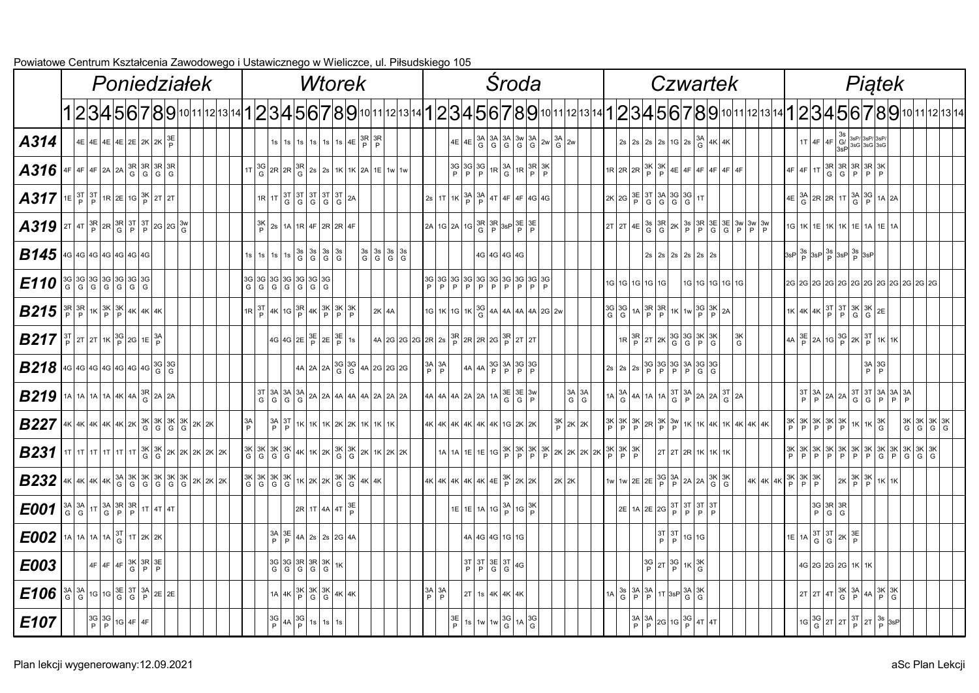|                                                                                                                                                                                                                                                                                                                    |  |                                                                                                                                                                  | Poniedziałek |  |  |  | sztalcci lid zawodowcyo i Ostawiczi icyo w |                |           |  |  | <b>Wtorek</b>                                                                                                                                           |               |                                                                                               |         |  |                                                          |  |                                                                                       | Środa                                                                                                                                                                                |  |                                                                                                                                                            |                                                  |  |                                                                        |  | <b>Czwartek</b>                                                                                                                                                                                                                                                                                    |                |  |         |                                                                                                                                                                        |                                    |  |                                                                                                                                                 | Piątek                                                                            |                                                  |  |                                                                                  |                                                                                                                                                            |
|--------------------------------------------------------------------------------------------------------------------------------------------------------------------------------------------------------------------------------------------------------------------------------------------------------------------|--|------------------------------------------------------------------------------------------------------------------------------------------------------------------|--------------|--|--|--|--------------------------------------------|----------------|-----------|--|--|---------------------------------------------------------------------------------------------------------------------------------------------------------|---------------|-----------------------------------------------------------------------------------------------|---------|--|----------------------------------------------------------|--|---------------------------------------------------------------------------------------|--------------------------------------------------------------------------------------------------------------------------------------------------------------------------------------|--|------------------------------------------------------------------------------------------------------------------------------------------------------------|--------------------------------------------------|--|------------------------------------------------------------------------|--|----------------------------------------------------------------------------------------------------------------------------------------------------------------------------------------------------------------------------------------------------------------------------------------------------|----------------|--|---------|------------------------------------------------------------------------------------------------------------------------------------------------------------------------|------------------------------------|--|-------------------------------------------------------------------------------------------------------------------------------------------------|-----------------------------------------------------------------------------------|--------------------------------------------------|--|----------------------------------------------------------------------------------|------------------------------------------------------------------------------------------------------------------------------------------------------------|
|                                                                                                                                                                                                                                                                                                                    |  |                                                                                                                                                                  |              |  |  |  |                                            |                |           |  |  |                                                                                                                                                         |               |                                                                                               |         |  |                                                          |  |                                                                                       |                                                                                                                                                                                      |  |                                                                                                                                                            |                                                  |  |                                                                        |  |                                                                                                                                                                                                                                                                                                    |                |  |         |                                                                                                                                                                        |                                    |  |                                                                                                                                                 |                                                                                   |                                                  |  |                                                                                  | 1 2 3 4 5 6 7 8 9 10 11 12 13 14 1 2 3 4 5 6 7 8 9 10 11 12 13 14 1 2 3 4 5 6 7 8 9 10 11 12 13 4 5 6 7 8 9 10 11 12 13 4 1 2 3 4 5 6 7 8 9 10 11 12 13 14 |
| A314                                                                                                                                                                                                                                                                                                               |  | $ 4E $ 4E $ 4E $ 4E $ 2E 2K 2K $ $\frac{3E}{P}$                                                                                                                  |              |  |  |  |                                            |                |           |  |  | 1s 1s 1s 1s 1s 1s 1s 4E $\frac{3R}{P}$ 3R                                                                                                               |               |                                                                                               |         |  |                                                          |  |                                                                                       |                                                                                                                                                                                      |  | $\left  4E \right  4E \left  \frac{3A}{G} \right  3A \left  \frac{3A}{G} \right  3A \left  \frac{3W}{G} \right  3A \left  2W \right  3A \left  2W \right $ |                                                  |  |                                                                        |  | $2s$ 2s $2s$ 2s $1G$ $2s$ $\frac{3A}{G}$ $4K$ $\frac{4K}{G}$                                                                                                                                                                                                                                       |                |  |         |                                                                                                                                                                        |                                    |  | $\begin{array}{ c c c c }\hline & 3s & 3sP/3sP/3sP/3sP/3sP/6} \cr & 4F & 3sP & 3sG & 3sG & 3sG \cr & & & 3sP & 3sG & 3sG \cr\hline \end{array}$ |                                                                                   |                                                  |  |                                                                                  |                                                                                                                                                            |
| $AB316$ 4F 4F 2A 2A $\frac{3R}{9}$ $\frac{3R}{9}$ $\frac{3R}{9}$ $\frac{3R}{9}$                                                                                                                                                                                                                                    |  |                                                                                                                                                                  |              |  |  |  |                                            |                |           |  |  | $\left  1T \right _G^{3G}$ 2R $\left  2R \right _G^{3R}$ 2s $\left  2s \right $ 1K $\left  1K \right $ 2A $\left  1E \right $ 1w $\left  1W \right $ 1w |               |                                                                                               |         |  |                                                          |  |                                                                                       | $\left \frac{3G}{P}\right \frac{3G}{P}\left \frac{3G}{P}\right $ 1R $\left \frac{3A}{G}\right $ 1R $\left \frac{3R}{P}\right \frac{3K}{P}$                                           |  |                                                                                                                                                            |                                                  |  |                                                                        |  | $1R\left 2R\left 2R\right \left 3K\right \left 3K\right 4E\left 4F\right 4F\left 4F\right 4F\right 4F$                                                                                                                                                                                             |                |  |         |                                                                                                                                                                        |                                    |  | $\left  4F \right  4F \left  1T \right  3R \left  3R \right  3R \left  3R \right  3K$                                                           |                                                                                   |                                                  |  |                                                                                  |                                                                                                                                                            |
| $\mid$ $A317\mid$ 1E $\mid^3\!\!\Gamma\mid$ <sup>3T</sup> $\mid$ 1R $\mid$ 2E $\mid$ 1G $\mid^3\!\!\mathbb{K}\mid$ 2T $\mid$ 2T $\mid$                                                                                                                                                                             |  |                                                                                                                                                                  |              |  |  |  |                                            |                |           |  |  | $1R$ $1T$ $3T$ $3T$ $3T$ $3T$ $3T$ $2A$                                                                                                                 |               |                                                                                               |         |  |                                                          |  |                                                                                       | $\left 2s\right $ 1T $\left 1K\right \left \frac{3A}{P}\right \left \frac{3A}{P}\right $ 4T $\left 4F\right $ 4F $\left 4G\right $ 4G                                                |  |                                                                                                                                                            |                                                  |  |                                                                        |  | $2K\left 2G\right \left \frac{3E}{P}\right \left \frac{3T}{G}\right \left \frac{3A}{G}\right \left \frac{3G}{G}\right \left \frac{3G}{G}\right 1T$                                                                                                                                                 |                |  |         |                                                                                                                                                                        |                                    |  | $\left  4E \left  \frac{3A}{G} \right  2R \left  2R \right  1T \left  \frac{3A}{G} \right  \frac{3G}{P} \left  1A \right  2A \right $           |                                                                                   |                                                  |  |                                                                                  |                                                                                                                                                            |
| $\big $ A319 $\big $ 2t $\big $ 4t $\big $ p $\big $ 2r $\big $ 3r $\big $ 3r $\big $ 3t $\big $ p $\big $ 2c $\big $ 2g $\big $ 3w $\big $                                                                                                                                                                        |  |                                                                                                                                                                  |              |  |  |  |                                            |                |           |  |  | $\frac{3K}{P}$ 2s 1A 1R 4F 2R 2R 4F                                                                                                                     |               |                                                                                               |         |  |                                                          |  |                                                                                       | $\left 2A\right 1G\left 2A\right 1G\left  \frac{3R}{G} \right  \frac{3R}{P} \left  \frac{3E}{3SP} \right  \frac{3E}{P} \left  \frac{3E}{P} \right $                                  |  |                                                                                                                                                            |                                                  |  |                                                                        |  |                                                                                                                                                                                                                                                                                                    |                |  |         |                                                                                                                                                                        |                                    |  | 1G 1K 1E 1K 1K 1E 1A 1E 1A                                                                                                                      |                                                                                   |                                                  |  |                                                                                  |                                                                                                                                                            |
| <b>B145</b> 4G 4G 4G 4G 4G 4G 4G                                                                                                                                                                                                                                                                                   |  |                                                                                                                                                                  |              |  |  |  |                                            |                | $1s$   1s |  |  | $\begin{array}{ c c c c c } \hline 3s & 3s & 3s \\ \hline 6 & 6 & 6 \end{array}$                                                                        |               | $\begin{array}{ c c c c c } \hline 3s & 3s & 3s \\ \hline G & G & G & G \\\hline \end{array}$ |         |  |                                                          |  | 4G 4G 4G 4G                                                                           |                                                                                                                                                                                      |  |                                                                                                                                                            |                                                  |  |                                                                        |  | $2s$   $2s$   $2s$   $2s$   $2s$   $2s$                                                                                                                                                                                                                                                            |                |  |         |                                                                                                                                                                        |                                    |  |                                                                                                                                                 |                                                                                   |                                                  |  |                                                                                  |                                                                                                                                                            |
| $E110$ 36 36 36 36 36 36 36                                                                                                                                                                                                                                                                                        |  |                                                                                                                                                                  |              |  |  |  |                                            |                |           |  |  |                                                                                                                                                         |               |                                                                                               |         |  |                                                          |  |                                                                                       | 3G 3G 3G 3G 3G 3G 3G 3G 3G 3G<br>P P P P P P P P P P P P P                                                                                                                           |  |                                                                                                                                                            |                                                  |  | 1G 1G 1G 1G 1G 1G                                                      |  |                                                                                                                                                                                                                                                                                                    | 1G 1G 1G 1G 1G |  |         |                                                                                                                                                                        |                                    |  |                                                                                                                                                 |                                                                                   |                                                  |  |                                                                                  |                                                                                                                                                            |
| $\mid$ $B215\left \frac{3R}{P}\right \frac{3R}{P}\left \frac{3K}{P}\right \frac{3K}{P}\left \frac{3K}{P}\right 4K\left 4K\right 4K\left 4K\right $                                                                                                                                                                 |  |                                                                                                                                                                  |              |  |  |  |                                            |                |           |  |  | $1R\left \frac{3T}{P}\right 4K\left 1G\right \frac{3R}{P}\left 4K\left \frac{3K}{P}\right \frac{3K}{P}\left \frac{3K}{P}\right \frac{3K}{P}\right $     |               |                                                                                               | $2K$ 4A |  |                                                          |  |                                                                                       | $\left  1G \right  1K \left  1G \right  1K \left  \frac{3G}{G} \right  4A \left  4A \right  4A \left  4A \right  2G \left  2W \right $                                               |  |                                                                                                                                                            |                                                  |  |                                                                        |  |                                                                                                                                                                                                                                                                                                    |                |  |         |                                                                                                                                                                        |                                    |  | $1K$ 4K 4K $\frac{3T}{P}$ $\frac{3T}{P}$ $\frac{3K}{G}$ $\frac{3K}{G}$ $\frac{2E}{2E}$                                                          |                                                                                   |                                                  |  |                                                                                  |                                                                                                                                                            |
| $ B217 $ <sup>3T</sup> 2T $ x $ 1K $ ^{3G}_{P} $ 2G 1E $ ^{3A}_{P} $                                                                                                                                                                                                                                               |  |                                                                                                                                                                  |              |  |  |  |                                            |                |           |  |  | $\left  4G \right  4G \left  2E \left  \frac{3E}{P} \right  2E \left  \frac{3E}{P} \right  1S \right $                                                  |               |                                                                                               |         |  |                                                          |  |                                                                                       | $\frac{1}{4}$ 4A 2G 2G 2G 2R 2s $\frac{3R}{P}$ 2R 2R 2G $\frac{3R}{P}$ 2T 2T                                                                                                         |  |                                                                                                                                                            |                                                  |  |                                                                        |  | $1R\left \frac{3R}{P}\right 2T\left 2K\left \frac{3G}{G}\right \frac{3G}{G}\left \frac{3K}{P}\right \frac{3K}{G}\right $                                                                                                                                                                           |                |  | 3K<br>G |                                                                                                                                                                        |                                    |  | $\left  4A \right _P^{3E}$ 2A 1G $\left  \frac{3G}{P} \right  2K \left  \frac{3T}{P} \right  1K \left  1K \right $                              |                                                                                   |                                                  |  |                                                                                  |                                                                                                                                                            |
| $\mid$ <b>B218</b> 46 46 46 46 46 46 36 36                                                                                                                                                                                                                                                                         |  |                                                                                                                                                                  |              |  |  |  |                                            |                |           |  |  | $ 4A $ 2A $ 2A $ 3G $ 3G $ 4A $ 2G $ 2G $ 2G $                                                                                                          |               |                                                                                               |         |  | $\begin{bmatrix} 3A & 3A \\ P & P \end{bmatrix}$         |  |                                                                                       | $\left  4A \right  4A \left  \frac{3G}{P} \right  \frac{3A}{P} \left  \frac{3G}{P} \right  \frac{3G}{P}$                                                                             |  |                                                                                                                                                            |                                                  |  |                                                                        |  | $\left 2s\right 2s\left 2s\right \left 3G\right \left 3G\right \left 3G\right \left 3A\right \left 3G\right \left 3G\right $                                                                                                                                                                       |                |  |         |                                                                                                                                                                        |                                    |  |                                                                                                                                                 |                                                                                   | $\begin{vmatrix} 3A & 3G \\ P & P \end{vmatrix}$ |  |                                                                                  |                                                                                                                                                            |
| $\mid$ $B219$ $\mid$ 1A $\mid$ 1A $\mid$ 1A $\mid$ 4K $\mid$ 4A $\mid$ $^{3R}_{\rm G}\mid$ 2A $\mid$ 2A $\mid$                                                                                                                                                                                                     |  |                                                                                                                                                                  |              |  |  |  |                                            |                |           |  |  |                                                                                                                                                         |               |                                                                                               |         |  |                                                          |  |                                                                                       | $\left  4A \right  4A \left  2A \right  2A \left  1A \right  3E \left  3E \right  3W$                                                                                                |  |                                                                                                                                                            | $\begin{vmatrix} 3A & 3A \\ G & G \end{vmatrix}$ |  |                                                                        |  | $1A \begin{vmatrix} 3A \\ G \end{vmatrix} 4A \begin{vmatrix} 1A \end{vmatrix} 1A \begin{vmatrix} 3T \\ G \end{vmatrix} \begin{vmatrix} 3A \\ P \end{vmatrix} 2A \begin{vmatrix} 2A \end{vmatrix} 3T \begin{vmatrix} 2A \end{vmatrix}$                                                              |                |  |         |                                                                                                                                                                        |                                    |  |                                                                                                                                                 |                                                                                   |                                                  |  |                                                                                  |                                                                                                                                                            |
| $B227$ 4K 4K 4K 4K 2K $x$ $\sqrt{3}$ $x$ $\sqrt{3}$ $x$ $\sqrt{3}$ $x$ $\sqrt{3}$ $x$ $\sqrt{2}$ $x$                                                                                                                                                                                                               |  |                                                                                                                                                                  |              |  |  |  |                                            | $\frac{3A}{P}$ |           |  |  | $\left \frac{3A}{P}\right \frac{3T}{P}\left 1K\right 1K\left 1K\right 2K\left 2K\right 1K\left 1K\right 1K$                                             |               |                                                                                               |         |  |                                                          |  |                                                                                       | 4K 4K 4K 4K 4K 4K 1G 2K 2K                                                                                                                                                           |  | $\left \frac{3\mathsf{K}}{\mathsf{P}}\right $ 2K $\left $ 2K $\right $                                                                                     |                                                  |  |                                                                        |  |                                                                                                                                                                                                                                                                                                    |                |  |         | $\frac{3K}{P}\left \frac{3K}{P}\right \frac{3K}{P}\left \frac{2R}{P}\right \frac{3K}{P}\left \frac{3W}{P}\right 1K\left 1K\right 4K\left 1K\right 4K\left 4K\right 4K$ |                                    |  | $\left  \frac{3K}{P} \right  \frac{3K}{P} \left  \frac{3K}{P} \right  \frac{3K}{P} \left  \frac{3K}{P} \right  1K \left  \frac{3K}{G} \right $  |                                                                                   |                                                  |  | $\begin{array}{ c c c c c } \hline 3K & 3K & 3K \\ \hline 6 & 6 & 6 \end{array}$ |                                                                                                                                                            |
| <b>B231</b> $\frac{1}{11}$ $\frac{1}{11}$ $\frac{1}{11}$ $\frac{1}{11}$ $\frac{1}{11}$ $\frac{1}{11}$ $\frac{1}{11}$ $\frac{1}{11}$ $\frac{1}{11}$ $\frac{1}{11}$ $\frac{1}{11}$ $\frac{1}{11}$ $\frac{1}{11}$ $\frac{1}{11}$ $\frac{1}{11}$ $\frac{1}{11}$ $\frac{1}{11}$ $\frac{1}{11}$ $\frac{1}{11}$ $\frac{1$ |  |                                                                                                                                                                  |              |  |  |  |                                            |                |           |  |  |                                                                                                                                                         |               |                                                                                               |         |  |                                                          |  |                                                                                       |                                                                                                                                                                                      |  | $1A$ $1A$ $1E$ $1E$ $1G$ $B$ $B$ $B$ $B$ $B$ $B$ $2K$ $2K$ $2K$ $2K$                                                                                       |                                                  |  | $\frac{3K}{P} \left  \frac{3K}{P} \right  \left  \frac{3K}{P} \right $ |  | 2T 2T 2R 1K 1K 1K                                                                                                                                                                                                                                                                                  |                |  |         |                                                                                                                                                                        |                                    |  |                                                                                                                                                 |                                                                                   |                                                  |  |                                                                                  |                                                                                                                                                            |
| <b>B232</b> 4K 4K 4K $ 4K $ $3A$ $ 3K $ $3K$ $ 3K $ $3K$ $ 3K $ $3K$ $ 2K $ $2K$ $ 2K $                                                                                                                                                                                                                            |  |                                                                                                                                                                  |              |  |  |  |                                            |                |           |  |  |                                                                                                                                                         |               |                                                                                               |         |  |                                                          |  |                                                                                       | $\left  4 \kappa \right  4 \kappa \left  4 \kappa \right  4 \kappa \left  4 \kappa \right  4 \mathsf{E} \left  \frac{3 \kappa}{\mathsf{P}} \right  2 \kappa \left  2 \kappa \right $ |  | $2K$ 2K                                                                                                                                                    |                                                  |  |                                                                        |  | $\left  1 \text{w} \right  1 \text{w}$ $2 \text{E}$ $\left  2 \text{E} \right  \left  \frac{3 \text{G}}{\text{P}} \right  \left  \frac{3 \text{A}}{\text{P}} \right  2 \text{A}$ $\left  2 \text{A} \right  \left  \frac{3 \text{K}}{\text{G}} \right  \left  \frac{3 \text{K}}{\text{G}} \right $ |                |  |         |                                                                                                                                                                        | $4K$ $4K$ $4K$ $8K$ $8K$ $8K$ $8K$ |  |                                                                                                                                                 | $\left  2K \left  \frac{3K}{P} \right  \frac{3K}{P} \right  1K \left  1K \right $ |                                                  |  |                                                                                  |                                                                                                                                                            |
| $E001$ $ {}^{3A}_{G} ^{3A}_{G} ^{17} ^{3A}_{G} ^{3R} ^{3R} ^{17} ^{47} ^{47} $                                                                                                                                                                                                                                     |  |                                                                                                                                                                  |              |  |  |  |                                            |                |           |  |  | $\left 2R\right $ 1T $\left 4A\right $ 4T $\left 3E\right $                                                                                             |               |                                                                                               |         |  |                                                          |  |                                                                                       | $1E\left 1E\right 1A\left 1G\right \left \frac{3A}{P}\right 1G\left \frac{3K}{P}\right $                                                                                             |  |                                                                                                                                                            |                                                  |  |                                                                        |  | $2E$ 1A $2E$ $2G$ $\frac{3T}{P}$ $\frac{3T}{P}$ $\frac{3T}{P}$ $\frac{3T}{P}$                                                                                                                                                                                                                      |                |  |         |                                                                                                                                                                        |                                    |  | $\begin{vmatrix} 3G & 3R & 3R \\ P & G & G \end{vmatrix}$                                                                                       |                                                                                   |                                                  |  |                                                                                  |                                                                                                                                                            |
| $E002$   1A   1A   1A   3T   1T   2K   2K                                                                                                                                                                                                                                                                          |  |                                                                                                                                                                  |              |  |  |  |                                            |                |           |  |  | $\left \frac{3A}{D}\right \frac{3E}{P}\left 4A\right 2s\left 2s\right 2G\left 4A\right $                                                                |               |                                                                                               |         |  |                                                          |  | 4A 4G 4G 1G 1G                                                                        |                                                                                                                                                                                      |  |                                                                                                                                                            |                                                  |  |                                                                        |  | $\frac{3T}{P} \left  \frac{3T}{P} \right  1G \left  1G \right $                                                                                                                                                                                                                                    |                |  |         |                                                                                                                                                                        |                                    |  | $\left  1E \right  1A \left  \begin{array}{c} 3T \\ G \end{array} \right  3T \left  2K \right  3E \left  5 \right $                             |                                                                                   |                                                  |  |                                                                                  |                                                                                                                                                            |
| <b>E003</b>                                                                                                                                                                                                                                                                                                        |  | $\left  4F \right  4F \left  4F \right  3K \left  3R \right  3E \left  5F \right $                                                                               |              |  |  |  |                                            |                |           |  |  |                                                                                                                                                         | $1\mathrm{K}$ |                                                                                               |         |  |                                                          |  | $\left \begin{array}{c c}\n3T & 3T & 3E & 3T \\ P & P & G & G\n\end{array}\right $ 4G |                                                                                                                                                                                      |  |                                                                                                                                                            |                                                  |  |                                                                        |  | $\frac{3G}{P}$ 2T $\frac{3G}{P}$ 1K $\frac{3K}{G}$                                                                                                                                                                                                                                                 |                |  |         |                                                                                                                                                                        |                                    |  | 4G 2G 2G 2G 1K 1K                                                                                                                               |                                                                                   |                                                  |  |                                                                                  |                                                                                                                                                            |
| $E$ 106 $\frac{3A}{G}$ $\frac{3A}{G}$ 10 10 $\frac{3E}{G}$ $\frac{3T}{G}$ $\frac{3A}{P}$ 2E 2E                                                                                                                                                                                                                     |  |                                                                                                                                                                  |              |  |  |  |                                            |                |           |  |  | $1A \left  4K \left  \begin{array}{c} 3K \\ P \end{array} \right  \begin{array}{c} 3K \\ G \end{array} \right  \left  3K \right  4K \left  4K \right $  |               |                                                                                               |         |  | $\begin{array}{ c c }\n 3A & 3A \\   P & P\n\end{array}$ |  | $2T$ 1s 4K 4K 4K                                                                      |                                                                                                                                                                                      |  |                                                                                                                                                            |                                                  |  |                                                                        |  | $1A \begin{vmatrix} 3s \\ G \end{vmatrix} \begin{vmatrix} 3A \\ P \end{vmatrix} \begin{vmatrix} 3A \\ P \end{vmatrix}$ $1T \begin{vmatrix} 3sP \\ 3sP \end{vmatrix} \begin{vmatrix} 3A \\ G \end{vmatrix} \begin{vmatrix} 3K \\ G \end{vmatrix}$                                                   |                |  |         |                                                                                                                                                                        |                                    |  | $\left 2T\right 2T\left 4T\right \left 3K\right \left 3A\right \left 4A\right \left 3K\right \left 3K\right $                                   |                                                                                   |                                                  |  |                                                                                  |                                                                                                                                                            |
| E107                                                                                                                                                                                                                                                                                                               |  | $\left \begin{array}{c} 3G \\ P \end{array}\right $ $\left \begin{array}{c} 3G \\ P \end{array}\right $ 1G $\left  \begin{array}{c} 4F \\ 4F \end{array}\right $ |              |  |  |  |                                            |                |           |  |  | $\frac{3G}{P}$ 4A $\frac{3G}{P}$ 1s 1s 1s                                                                                                               |               |                                                                                               |         |  |                                                          |  |                                                                                       | $\left \frac{3E}{P}\right $ 1s $\left  \frac{1}{W} \right $ 1w $\left \frac{3G}{G}\right $ 1A $\left \frac{3G}{G}\right $                                                            |  |                                                                                                                                                            |                                                  |  |                                                                        |  | $\begin{array}{c c c}\n 3A & 3A & 2G & 1G & 3G & 4T & 4T\n\end{array}$                                                                                                                                                                                                                             |                |  |         |                                                                                                                                                                        |                                    |  | $\left  1G \left  \frac{3G}{G} \right  2T \left  2T \left  \frac{3T}{P} \right  2T \left  \frac{3s}{P} \right  3sP \right $                     |                                                                                   |                                                  |  |                                                                                  |                                                                                                                                                            |